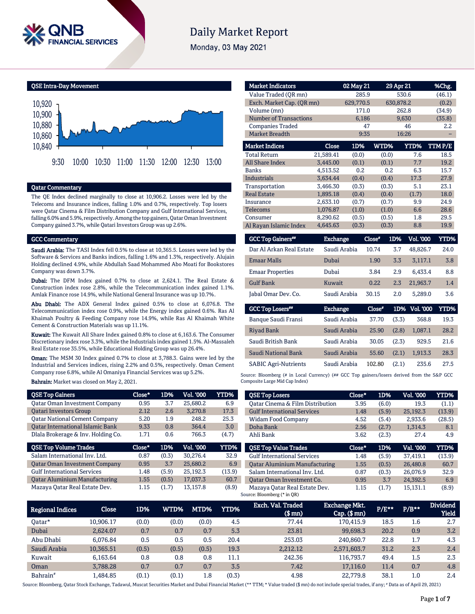

# **Daily Market Report**

Monday, 03 May 2021

QSE Intra-Day Movement



# Qatar Commentary

The QE Index declined marginally to close at 10,906.2. Losses were led by the Telecoms and Insurance indices, falling 1.0% and 0.7%, respectively. Top losers were Qatar Cinema & Film Distribution Company and Gulf International Services, falling 6.0% and 5.9%, respectively. Among the top gainers, Qatar Oman Investment Company gained 3.7%, while Qatari Investors Group was up 2.6%.

#### GCC Commentary

Saudi Arabia: The TASI Index fell 0.5% to close at 10,365.5. Losses were led by the Software & Services and Banks indices, falling 1.6% and 1.3%, respectively. Alujain Holding declined 4.9%, while Abdullah Saad Mohammed Abo Moati for Bookstores Company was down 3.7%.

Dubai: The DFM Index gained 0.7% to close at 2,624.1. The Real Estate & Construction index rose 2.8%, while the Telecommunication index gained 1.1%. Amlak Finance rose 14.9%, while National General Insurance was up 10.7%.

Abu Dhabi: The ADX General Index gained 0.5% to close at 6,076.8. The Telecommunication index rose 0.9%, while the Energy index gained 0.6%. Ras Al Khaimah Poultry & Feeding Company rose 14.9%, while Ras Al Khaimah White Cement & Construction Materials was up 11.1%.

Kuwait: The Kuwait All Share Index gained 0.8% to close at 6,163.6. The Consumer Discretionary index rose 3.3%, while the Industrials index gained 1.5%. Al-Massaleh Real Estate rose 35.5%, while Educational Holding Group was up 26.4%.

Oman: The MSM 30 Index gained 0.7% to close at 3,788.3. Gains were led by the Industrial and Services indices, rising 2.2% and 0.5%, respectively. Oman Cement Company rose 6.8%, while Al Omaniya Financial Services was up 5.2%.

#### Bahrain: Market was closed on May 2, 2021.

| <b>QSE Top Gainers</b>                  | Close*   | 1D%   | Vol. '000 | YTD%   |
|-----------------------------------------|----------|-------|-----------|--------|
| <b>Qatar Oman Investment Company</b>    | 0.95     | 3.7   | 25.680.2  | 6.9    |
| <b>Oatari Investors Group</b>           | 2.12     | 2.6   | 3.270.8   | 17.3   |
| <b>Qatar National Cement Company</b>    | 5.20     | 1.9   | 248.2     | 25.3   |
| <b>Qatar International Islamic Bank</b> | 9.33     | 0.8   | 364.4     | 3.0    |
| Dlala Brokerage & Inv. Holding Co.      | 1.71     | 0.6   | 766.3     | (4.7)  |
|                                         |          |       |           |        |
| <b>QSE Top Volume Trades</b>            | $Close*$ | 1D%   | Vol. '000 | YTD%   |
| Salam International Inv. Ltd.           | 0.87     | (0.3) | 30.276.4  | 32.9   |
| <b>Qatar Oman Investment Company</b>    | 0.95     | 3.7   | 25,680.2  | 6.9    |
| <b>Gulf International Services</b>      | 1.48     | (5.9) | 25.192.3  | (13.9) |
| <b>Oatar Aluminium Manufacturing</b>    | 1.55     | (0.5) | 17.037.3  | 60.7   |

| <b>Market Indicators</b>      |           | 02 May 21 |             | 29 Apr 21 | %Chg.  |
|-------------------------------|-----------|-----------|-------------|-----------|--------|
| Value Traded (OR mn)          |           | 285.9     |             | 530.6     | (46.1) |
| Exch. Market Cap. (QR mn)     |           | 629,770.5 |             | 630,878.2 | (0.2)  |
| Volume (mn)                   |           | 171.0     |             | 262.8     | (34.9) |
| <b>Number of Transactions</b> |           | 6,186     |             | 9,630     | (35.8) |
| <b>Companies Traded</b>       |           | 47        |             | 46        | 2.2    |
| <b>Market Breadth</b>         |           | 9:35      |             | 16:26     |        |
| <b>Market Indices</b>         | Close     | 1D%       | <b>WTD%</b> | YTD%      | TTMP/E |
| <b>Total Return</b>           | 21,589.41 | (0.0)     | (0.0)       | 7.6       | 18.5   |
| <b>All Share Index</b>        | 3.445.00  | (0.1)     | (0.1)       | 7.7       | 19.2   |
| <b>Banks</b>                  | 4,513.52  | 0.2       | 0.2         | 6.3       | 15.7   |
| <b>Industrials</b>            | 3.634.44  | (0.4)     | (0.4)       | 17.3      | 27.9   |
| Transportation                | 3,466.30  | (0.3)     | (0.3)       | 5.1       | 23.1   |
| <b>Real Estate</b>            | 1.895.18  | (0.4)     | (0.4)       | (1.7)     | 18.0   |
| Insurance                     | 2.633.10  | (0.7)     | (0.7)       | 9.9       | 24.9   |
| <b>Telecoms</b>               | 1,076.87  | (1.0)     | (1.0)       | 6.6       | 28.6   |
| Consumer                      | 8,290.62  | (0.5)     | (0.5)       | 1.8       | 29.5   |
| Al Rayan Islamic Index        | 4,645.63  | (0.3)     | (0.3)       | 8.8       | 19.9   |

| <b>GCC Top Gainers**</b> | <b>Exchange</b> | Close" | 1D% | <b>Vol. '000</b> | YTD% |
|--------------------------|-----------------|--------|-----|------------------|------|
| Dar Al Arkan Real Estate | Saudi Arabia    | 10.74  | 3.7 | 48.826.7         | 24.0 |
| <b>Emaar Malls</b>       | Dubai           | 1.90   | 3.3 | 3.117.1          | 3.8  |
| <b>Emaar Properties</b>  | Dubai           | 3.84   | 2.9 | 6.433.4          | 8.8  |
| <b>Gulf Bank</b>         | Kuwait          | 0.22   | 2.3 | 21.963.7         | 1.4  |
| Jabal Omar Dev. Co.      | Saudi Arabia    | 30.15  | 2.0 | 5.289.0          | 3.6  |

| <b>GCC Top Losers##</b>     | <b>Exchange</b> | Close" |       | 1D% Vol. 000 | YTD% |
|-----------------------------|-----------------|--------|-------|--------------|------|
| Banque Saudi Fransi         | Saudi Arabia    | 37.70  | (3.3) | 368.8        | 19.3 |
| <b>Riyad Bank</b>           | Saudi Arabia    | 25.90  | (2.8) | 1.087.1      | 28.2 |
| Saudi British Bank          | Saudi Arabia    | 30.05  | (2.3) | 929.5        | 21.6 |
| Saudi National Bank         | Saudi Arabia    | 55.60  | (2.1) | 1.913.3      | 28.3 |
| <b>SABIC Agri-Nutrients</b> | Saudi Arabia    | 102.80 | (2.1) | 235.6        | 27.5 |

Source: Bloomberg (# in Local Currency) (## GCC Top gainers/losers derived from the S&P GCC Composite Large Mid Cap Index)

| <b>QSE Top Losers</b>                | Close* | 1D%   | Vol. '000 | YTD%   |
|--------------------------------------|--------|-------|-----------|--------|
| Oatar Cinema & Film Distribution     | 3.95   | (6.0) | 19.3      | (1.1)  |
| <b>Gulf International Services</b>   | 1.48   | (5.9) | 25.192.3  | (13.9) |
| Widam Food Company                   | 4.52   | (5.4) | 2,933.6   | (28.5) |
| Doha Bank                            | 2.56   | (2.7) | 1.314.3   | 8.1    |
| Ahli Bank                            | 3.62   | (2.3) | 27.4      | 4.9    |
|                                      |        |       |           |        |
| <b>OSE Top Value Trades</b>          | Close* | 1D%   | Val. '000 | YTD%   |
| <b>Gulf International Services</b>   | 1.48   | (5.9) | 37.419.1  | (13.9) |
| <b>Oatar Aluminium Manufacturing</b> | 1.55   | (0.5) | 26,480.8  | 60.7   |
| Salam International Inv. Ltd.        | 0.87   | (0.3) | 26.076.9  | 32.9   |
| Oatar Oman Investment Co.            | 0.95   | 3.7   | 24.392.5  | 6.9    |

| <b>Regional Indices</b> | Close     | 1D%   | WTD%' | MTD%  | <b>YTD%</b> | Exch. Val. Traded<br>$$$ mn $)$ | <b>Exchange Mkt.</b><br>$Cap.$ (\$ $mn$ ) | $P/E***$ | $P/B***$ | <b>Dividend</b><br>Yield |
|-------------------------|-----------|-------|-------|-------|-------------|---------------------------------|-------------------------------------------|----------|----------|--------------------------|
| Oatar*                  | 10.906.17 | (0.0) | (0.0) | (0.0) | 4.5         | 77.44                           | 170.415.9                                 | 18.5     | 1.6      | 2.7                      |
| Dubai                   | 2.624.07  | 0.7   | 0.7   | 0.7   | 5.3         | 23.81                           | 99.698.3                                  | 20.2     | 0.9      | 3.2                      |
| Abu Dhabi               | 6.076.84  | 0.5   | 0.5   | 0.5   | 20.4        | 253.03                          | 240.860.7                                 | 22.8     | 1.7      | 4.3                      |
| Saudi Arabia            | 10.365.51 | (0.5) | (0.5) | (0.5) | 19.3        | 2.212.12                        | 2,571,603.7                               | 31.2     | 2.3      | 2.4                      |
| Kuwait                  | 6.163.64  | 0.8   | 0.8   | 0.8   | 11.1        | 242.36                          | 116.793.7                                 | 49.4     | 1.5      | 2.3                      |
| Oman                    | 3.788.28  | 0.7   | 0.7   | 0.7   | 3.5         | 7.42                            | 17.116.0                                  | 11.4     | 0.7      | 4.8                      |
| Bahrain <sup>#</sup>    | 1.484.85  | (0.1) | (0.1) | 1.8   | (0.3)       | 4.98                            | 22,779.8                                  | 38.1     | 1.0      | 2.4                      |

Source: Bloomberg, Qatar Stock Exchange, Tadawul, Muscat Securities Market and Dubai Financial Market (\*\* TTM; \* Value traded (\$ mn) do not include special trades, if any; # Data as of April 29, 2021)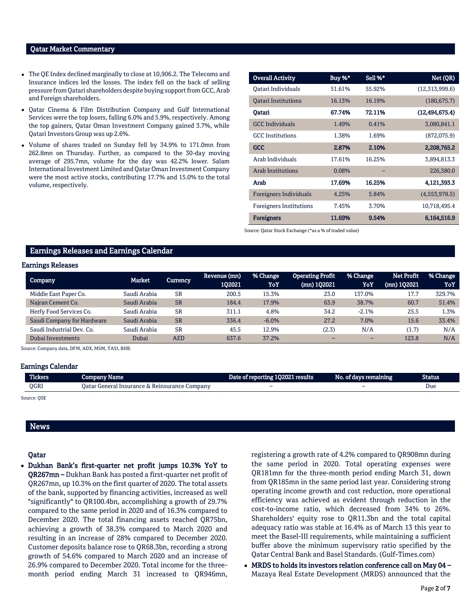### Qatar Market Commentary

- The QE Index declined marginally to close at 10,906.2. The Telecoms and Insurance indices led the losses. The index fell on the back of selling pressure from Qatari shareholders despite buying support from GCC, Arab and Foreign shareholders.
- Qatar Cinema & Film Distribution Company and Gulf International Services were the top losers, falling 6.0% and 5.9%, respectively. Among the top gainers, Qatar Oman Investment Company gained 3.7%, while Qatari Investors Group was up 2.6%.
- Volume of shares traded on Sunday fell by 34.9% to 171.0mn from 262.8mn on Thursday. Further, as compared to the 30-day moving average of 295.7mn, volume for the day was 42.2% lower. Salam International Investment Limited and Qatar Oman Investment Company were the most active stocks, contributing 17.7% and 15.0% to the total volume, respectively.

| <b>Overall Activity</b>        | Buy %* | Sell %* | Net (QR)         |
|--------------------------------|--------|---------|------------------|
| Oatari Individuals             | 51.61% | 55.92%  | (12,313,999.6)   |
| <b>Oatari Institutions</b>     | 16.13% | 16.19%  | (180, 675.7)     |
| Oatari                         | 67.74% | 72.11%  | (12, 494, 675.4) |
| <b>GCC</b> Individuals         | 1.49%  | 0.41%   | 3,080,841.1      |
| <b>GCC</b> Institutions        | 1.38%  | 1.69%   | (872,075.9)      |
| <b>GCC</b>                     | 2.87%  | 2.10%   | 2,208,765.2      |
| Arab Individuals               | 17.61% | 16.25%  | 3,894,813.3      |
| <b>Arab Institutions</b>       | 0.08%  |         | 226,580.0        |
| Arab                           | 17.69% | 16.25%  | 4,121,393.3      |
| <b>Foreigners Individuals</b>  | 4.25%  | 5.84%   | (4,553,978.5)    |
| <b>Foreigners Institutions</b> | 7.45%  | 3.70%   | 10,718,495.4     |
| <b>Foreigners</b>              | 11.69% | 9.54%   | 6,164,516.9      |

Source: Qatar Stock Exchange (\*as a % of traded value)

# Earnings Releases and Earnings Calendar

#### Earnings Releases

| Company                    | Market       | Currency  | Revenue (mn)  <br>102021 | % Change<br>YoY | <b>Operating Profit</b><br>$(mn)$ 102021 | % Change<br>YoY          | Net Profit<br>$(mn)$ 1Q2021 | % Change<br>YoY |
|----------------------------|--------------|-----------|--------------------------|-----------------|------------------------------------------|--------------------------|-----------------------------|-----------------|
| Middle East Paper Co.      | Saudi Arabia | <b>SR</b> | 200.5                    | 15.3%           | 23.0                                     | 137.0%                   | 17.7                        | 329.7%          |
| Najran Cement Co.          | Saudi Arabia | <b>SR</b> | 184.4                    | 17.9%           | 63.9                                     | 38.7%                    | 60.7                        | 51.4%           |
| Herfy Food Services Co.    | Saudi Arabia | <b>SR</b> | 311.1                    | 4.8%            | 34.2                                     | $-2.1%$                  | 25.5                        | 1.3%            |
| Saudi Company for Hardware | Saudi Arabia | <b>SR</b> | 336.4                    | $-6.0%$         | 27.2                                     | 7.0%                     | 15.6                        | 33.4%           |
| Saudi Industrial Dev. Co.  | Saudi Arabia | <b>SR</b> | 45.5                     | 12.9%           | (2.3)                                    | N/A                      | (1.7)                       | N/A             |
| Dubai Investments          | Dubai        | AED       | 637.6                    | 37.2%           | -                                        | $\overline{\phantom{0}}$ | 123.8                       | N/A             |

Source: Company data, DFM, ADX, MSM, TASI, BHB.

#### Earnings Calendar

| <b>Tickers</b> | Company Name                                  | Date of reporting 1Q2021 results | No. of days remaining | Status |
|----------------|-----------------------------------------------|----------------------------------|-----------------------|--------|
| <b>OGRI</b>    | Oatar General Insurance & Reinsurance Company | -                                | -                     | Due    |
|                |                                               |                                  |                       |        |

Source: QSE

### News

#### Qatar

 Dukhan Bank's first-quarter net profit jumps 10.3% YoY to QR267mn – Dukhan Bank has posted a first-quarter net profit of QR267mn, up 10.3% on the first quarter of 2020. The total assets of the bank, supported by financing activities, increased as well "significantly" to QR100.4bn, accomplishing a growth of 29.7% compared to the same period in 2020 and of 16.3% compared to December 2020. The total financing assets reached QR75bn, achieving a growth of 38.3% compared to March 2020 and resulting in an increase of 28% compared to December 2020. Customer deposits balance rose to QR68.3bn, recording a strong growth of 54.6% compared to March 2020 and an increase of 26.9% compared to December 2020. Total income for the threemonth period ending March 31 increased to QR946mn, registering a growth rate of 4.2% compared to QR908mn during the same period in 2020. Total operating expenses were QR181mn for the three-month period ending March 31, down from QR185mn in the same period last year. Considering strong operating income growth and cost reduction, more operational efficiency was achieved as evident through reduction in the cost-to-income ratio, which decreased from 34% to 26%. Shareholders' equity rose to QR11.3bn and the total capital adequacy ratio was stable at 16.4% as of March 13 this year to meet the Basel-III requirements, while maintaining a sufficient buffer above the minimum supervisory ratio specified by the Qatar Central Bank and Basel Standards. (Gulf-Times.com)

 MRDS to holds its investors relation conference call on May 04 – Mazaya Real Estate Development (MRDS) announced that the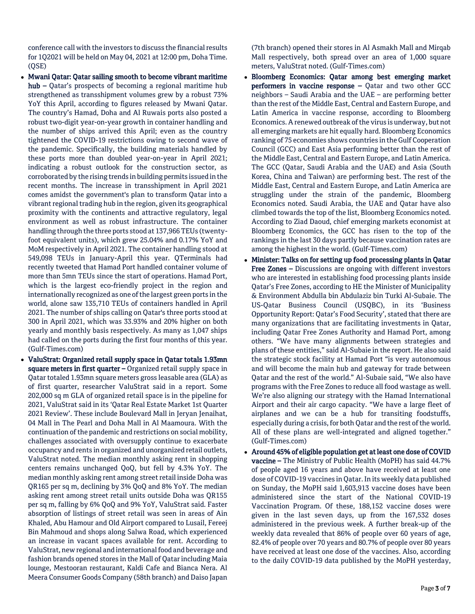conference call with the investors to discuss the financial results for 1Q2021 will be held on May 04, 2021 at 12:00 pm, Doha Time. (QSE)

- Mwani Qatar: Qatar sailing smooth to become vibrant maritime hub – Qatar's prospects of becoming a regional maritime hub strengthened as transshipment volumes grew by a robust 73% YoY this April, according to figures released by Mwani Qatar. The country's Hamad, Doha and Al Ruwais ports also posted a robust two-digit year-on-year growth in container handling and the number of ships arrived this April; even as the country tightened the COVID-19 restrictions owing to second wave of the pandemic. Specifically, the building materials handled by these ports more than doubled year-on-year in April 2021; indicating a robust outlook for the construction sector, as corroborated by the rising trends in building permits issued in the recent months. The increase in transshipment in April 2021 comes amidst the government's plan to transform Qatar into a vibrant regional trading hub in the region, given its geographical proximity with the continents and attractive regulatory, legal environment as well as robust infrastructure. The container handling through the three ports stood at 137,966 TEUs (twentyfoot equivalent units), which grew 25.04% and 0.17% YoY and MoM respectively in April 2021. The container handling stood at 549,098 TEUs in January-April this year. QTerminals had recently tweeted that Hamad Port handled container volume of more than 5mn TEUs since the start of operations. Hamad Port, which is the largest eco-friendly project in the region and internationally recognized as one of the largest green ports in the world, alone saw 135,710 TEUs of containers handled in April 2021. The number of ships calling on Qatar's three ports stood at 300 in April 2021, which was 33.93% and 20% higher on both yearly and monthly basis respectively. As many as 1,047 ships had called on the ports during the first four months of this year. (Gulf-Times.com)
- ValuStrat: Organized retail supply space in Qatar totals 1.93mn square meters in first quarter - Organized retail supply space in Qatar totaled 1.93mn square meters gross leasable area (GLA) as of first quarter, researcher ValuStrat said in a report. Some 202,000 sq m GLA of organized retail space is in the pipeline for 2021, ValuStrat said in its 'Qatar Real Estate Market 1st Quarter 2021 Review'. These include Boulevard Mall in Jeryan Jenaihat, 04 Mall in The Pearl and Doha Mall in Al Maamoura. With the continuation of the pandemic and restrictions on social mobility, challenges associated with oversupply continue to exacerbate occupancy and rents in organized and unorganized retail outlets, ValuStrat noted. The median monthly asking rent in shopping centers remains unchanged QoQ, but fell by 4.3% YoY. The median monthly asking rent among street retail inside Doha was QR165 per sq m, declining by 3% QoQ and 8% YoY. The median asking rent among street retail units outside Doha was QR155 per sq m, falling by 6% QoQ and 9% YoY, ValuStrat said. Faster absorption of listings of street retail was seen in areas of Ain Khaled, Abu Hamour and Old Airport compared to Lusail, Fereej Bin Mahmoud and shops along Salwa Road, which experienced an increase in vacant spaces available for rent. According to ValuStrat, new regional and international food and beverage and fashion brands opened stores in the Mall of Qatar including Maia lounge, Mestooran restaurant, Kaldi Cafe and Bianca Nera. Al Meera Consumer Goods Company (58th branch) and Daiso Japan

(7th branch) opened their stores in Al Asmakh Mall and Mirqab Mall respectively, both spread over an area of 1,000 square meters, ValuStrat noted. (Gulf-Times.com)

- Bloomberg Economics: Qatar among best emerging market performers in vaccine response – Qatar and two other GCC neighbors – Saudi Arabia and the UAE – are performing better than the rest of the Middle East, Central and Eastern Europe, and Latin America in vaccine response, according to Bloomberg Economics. A renewed outbreak of the virus is underway, but not all emerging markets are hit equally hard. Bloomberg Economics ranking of 75 economies shows countries in the Gulf Cooperation Council (GCC) and East Asia performing better than the rest of the Middle East, Central and Eastern Europe, and Latin America. The GCC (Qatar, Saudi Arabia and the UAE) and Asia (South Korea, China and Taiwan) are performing best. The rest of the Middle East, Central and Eastern Europe, and Latin America are struggling under the strain of the pandemic, Bloomberg Economics noted. Saudi Arabia, the UAE and Qatar have also climbed towards the top of the list, Bloomberg Economics noted. According to Ziad Daoud, chief emerging markets economist at Bloomberg Economics, the GCC has risen to the top of the rankings in the last 30 days partly because vaccination rates are among the highest in the world. (Gulf-Times.com)
- Minister: Talks on for setting up food processing plants in Qatar Free Zones – Discussions are ongoing with different investors who are interested in establishing food processing plants inside Qatar's Free Zones, according to HE the Minister of Municipality & Environment Abdulla bin Abdulaziz bin Turki Al-Subaie. The US-Qatar Business Council (USQBC), in its 'Business Opportunity Report: Qatar's Food Security', stated that there are many organizations that are facilitating investments in Qatar, including Qatar Free Zones Authority and Hamad Port, among others. "We have many alignments between strategies and plans of these entities," said Al-Subaie in the report. He also said the strategic stock facility at Hamad Port "is very autonomous and will become the main hub and gateway for trade between Qatar and the rest of the world." Al-Subaie said, "We also have programs with the Free Zones to reduce all food wastage as well. We're also aligning our strategy with the Hamad International Airport and their air cargo capacity. "We have a large fleet of airplanes and we can be a hub for transiting foodstuffs, especially during a crisis, for both Qatar and the rest of the world. All of these plans are well-integrated and aligned together." (Gulf-Times.com)
- Around 45% of eligible population get at least one dose of COVID vaccine – The Ministry of Public Health (MoPH) has said 44.7% of people aged 16 years and above have received at least one dose of COVID-19 vaccines in Qatar. In its weekly data published on Sunday, the MoPH said 1,603,913 vaccine doses have been administered since the start of the National COVID-19 Vaccination Program. Of these, 188,152 vaccine doses were given in the last seven days, up from the 167,532 doses administered in the previous week. A further break-up of the weekly data revealed that 86% of people over 60 years of age, 82.4% of people over 70 years and 80.7% of people over 80 years have received at least one dose of the vaccines. Also, according to the daily COVID-19 data published by the MoPH yesterday,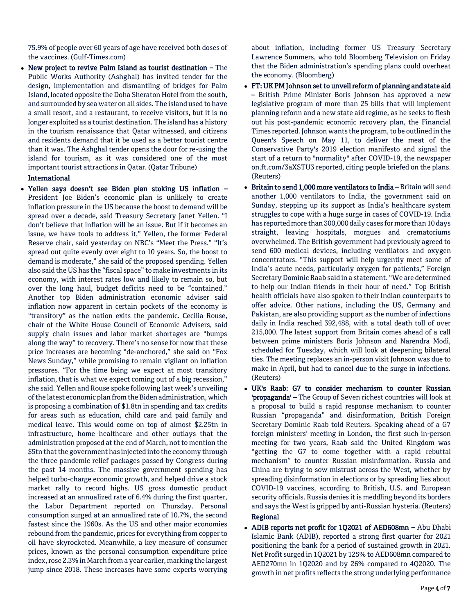75.9% of people over 60 years of age have received both doses of the vaccines. (Gulf-Times.com)

 New project to revive Palm Island as tourist destination – The Public Works Authority (Ashghal) has invited tender for the design, implementation and dismantling of bridges for Palm Island, located opposite the Doha Sheraton Hotel from the south, and surrounded by sea water on all sides. The island used to have a small resort, and a restaurant, to receive visitors, but it is no longer exploited as a tourist destination. The island has a history in the tourism renaissance that Qatar witnessed, and citizens and residents demand that it be used as a better tourist centre than it was. The Ashghal tender opens the door for re-using the island for tourism, as it was considered one of the most important tourist attractions in Qatar. (Qatar Tribune)

## International

 Yellen says doesn't see Biden plan stoking US inflation – President Joe Biden's economic plan is unlikely to create inflation pressure in the US because the boost to demand will be spread over a decade, said Treasury Secretary Janet Yellen. "I don't believe that inflation will be an issue. But if it becomes an issue, we have tools to address it," Yellen, the former Federal Reserve chair, said yesterday on NBC's "Meet the Press." "It's spread out quite evenly over eight to 10 years. So, the boost to demand is moderate," she said of the proposed spending. Yellen also said the US has the "fiscal space" to make investments in its economy, with interest rates low and likely to remain so, but over the long haul, budget deficits need to be "contained." Another top Biden administration economic adviser said inflation now apparent in certain pockets of the economy is "transitory" as the nation exits the pandemic. Cecilia Rouse, chair of the White House Council of Economic Advisers, said supply chain issues and labor market shortages are "bumps along the way" to recovery. There's no sense for now that these price increases are becoming "de-anchored," she said on "Fox News Sunday," while promising to remain vigilant on inflation pressures. "For the time being we expect at most transitory inflation, that is what we expect coming out of a big recession," she said. Yellen and Rouse spoke following last week's unveiling of the latest economic plan from the Biden administration, which is proposing a combination of \$1.8tn in spending and tax credits for areas such as education, child care and paid family and medical leave. This would come on top of almost \$2.25tn in infrastructure, home healthcare and other outlays that the administration proposed at the end of March, not to mention the \$5tn that the government has injected into the economy through the three pandemic relief packages passed by Congress during the past 14 months. The massive government spending has helped turbo-charge economic growth, and helped drive a stock market rally to record highs. US gross domestic product increased at an annualized rate of 6.4% during the first quarter, the Labor Department reported on Thursday. Personal consumption surged at an annualized rate of 10.7%, the second fastest since the 1960s. As the US and other major economies rebound from the pandemic, prices for everything from copper to oil have skyrocketed. Meanwhile, a key measure of consumer prices, known as the personal consumption expenditure price index, rose 2.3% in March from a year earlier, marking the largest jump since 2018. These increases have some experts worrying

about inflation, including former US Treasury Secretary Lawrence Summers, who told Bloomberg Television on Friday that the Biden administration's spending plans could overheat the economy. (Bloomberg)

- FT: UK PM Johnson set to unveil reform of planning and state aid – British Prime Minister Boris Johnson has approved a new legislative program of more than 25 bills that will implement planning reform and a new state aid regime, as he seeks to flesh out his post-pandemic economic recovery plan, the Financial Times reported. Johnson wants the program, to be outlined in the Queen's Speech on May 11, to deliver the meat of the Conservative Party's 2019 election manifesto and signal the start of a return to "normality" after COVID-19, the newspaper on.ft.com/3aXSTU3 reported, citing people briefed on the plans. (Reuters)
- Britain to send 1,000 more ventilators to India Britain will send another 1,000 ventilators to India, the government said on Sunday, stepping up its support as India's healthcare system struggles to cope with a huge surge in cases of COVID-19. India has reported more than 300,000 daily cases for more than 10 days straight, leaving hospitals, morgues and crematoriums overwhelmed. The British government had previously agreed to send 600 medical devices, including ventilators and oxygen concentrators. "This support will help urgently meet some of India's acute needs, particularly oxygen for patients," Foreign Secretary Dominic Raab said in a statement. "We are determined to help our Indian friends in their hour of need." Top British health officials have also spoken to their Indian counterparts to offer advice. Other nations, including the US, Germany and Pakistan, are also providing support as the number of infections daily in India reached 392,488, with a total death toll of over 215,000. The latest support from Britain comes ahead of a call between prime ministers Boris Johnson and Narendra Modi, scheduled for Tuesday, which will look at deepening bilateral ties. The meeting replaces an in-person visit Johnson was due to make in April, but had to cancel due to the surge in infections. (Reuters)
- UK's Raab: G7 to consider mechanism to counter Russian 'propaganda' – The Group of Seven richest countries will look at a proposal to build a rapid response mechanism to counter Russian "propaganda" and disinformation, British Foreign Secretary Dominic Raab told Reuters. Speaking ahead of a G7 foreign ministers' meeting in London, the first such in-person meeting for two years, Raab said the United Kingdom was "getting the G7 to come together with a rapid rebuttal mechanism" to counter Russian misinformation. Russia and China are trying to sow mistrust across the West, whether by spreading disinformation in elections or by spreading lies about COVID-19 vaccines, according to British, U.S. and European security officials. Russia denies it is meddling beyond its borders and says the West is gripped by anti-Russian hysteria. (Reuters) Regional
- ADIB reports net profit for 1Q2021 of AED608mn Abu Dhabi Islamic Bank (ADIB), reported a strong first quarter for 2021 positioning the bank for a period of sustained growth in 2021. Net Profit surged in 1Q2021 by 125% to AED608mn compared to AED270mn in 1Q2020 and by 26% compared to 4Q2020. The growth in net profits reflects the strong underlying performance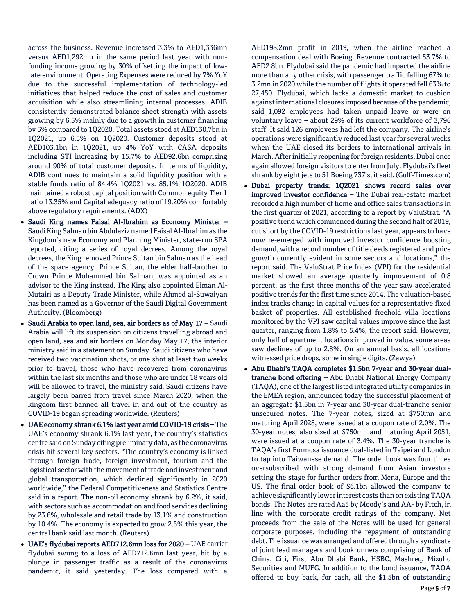across the business. Revenue increased 3.3% to AED1,336mn versus AED1,292mn in the same period last year with nonfunding income growing by 30% offsetting the impact of lowrate environment. Operating Expenses were reduced by 7% YoY due to the successful implementation of technology-led initiatives that helped reduce the cost of sales and customer acquisition while also streamlining internal processes. ADIB consistently demonstrated balance sheet strength with assets growing by 6.5% mainly due to a growth in customer financing by 5% compared to 1Q2020. Total assets stood at AED130.7bn in 1Q2021, up 6.5% on 1Q2020. Customer deposits stood at AED103.1bn in 1Q2021, up 4% YoY with CASA deposits including STI increasing by 15.7% to AED92.6bn comprising around 90% of total customer deposits. In terms of liquidity, ADIB continues to maintain a solid liquidity position with a stable funds ratio of 84.4% 1Q2021 vs. 85.1% 1Q2020. ADIB maintained a robust capital position with Common equity Tier 1 ratio 13.35% and Capital adequacy ratio of 19.20% comfortably above regulatory requirements. (ADX)

- Saudi King names Faisal Al-Ibrahim as Economy Minister Saudi King Salman bin Abdulaziz named Faisal Al-Ibrahim as the Kingdom's new Economy and Planning Minister, state-run SPA reported, citing a series of royal decrees. Among the royal decrees, the King removed Prince Sultan bin Salman as the head of the space agency. Prince Sultan, the elder half-brother to Crown Prince Mohammed bin Salman, was appointed as an advisor to the King instead. The King also appointed Eiman Al-Mutairi as a Deputy Trade Minister, while Ahmed al-Suwaiyan has been named as a Governor of the Saudi Digital Government Authority. (Bloomberg)
- Saudi Arabia to open land, sea, air borders as of May 17 Saudi Arabia will lift its suspension on citizens travelling abroad and open land, sea and air borders on Monday May 17, the interior ministry said in a statement on Sunday. Saudi citizens who have received two vaccination shots, or one shot at least two weeks prior to travel, those who have recovered from coronavirus within the last six months and those who are under 18 years old will be allowed to travel, the ministry said. Saudi citizens have largely been barred from travel since March 2020, when the kingdom first banned all travel in and out of the country as COVID-19 began spreading worldwide. (Reuters)
- UAE economy shrank 6.1% last year amid COVID-19 crisis The UAE's economy shrank 6.1% last year, the country's statistics centre said on Sunday citing preliminary data, as the coronavirus crisis hit several key sectors. "The country's economy is linked through foreign trade, foreign investment, tourism and the logistical sector with the movement of trade and investment and global transportation, which declined significantly in 2020 worldwide," the Federal Competitiveness and Statistics Centre said in a report. The non-oil economy shrank by 6.2%, it said, with sectors such as accommodation and food services declining by 23.6%, wholesale and retail trade by 13.1% and construction by 10.4%. The economy is expected to grow 2.5% this year, the central bank said last month. (Reuters)
- UAE's flydubai reports AED712.6mn loss for 2020 UAE carrier flydubai swung to a loss of AED712.6mn last year, hit by a plunge in passenger traffic as a result of the coronavirus pandemic, it said yesterday. The loss compared with a

AED198.2mn profit in 2019, when the airline reached a compensation deal with Boeing. Revenue contracted 53.7% to AED2.8bn. Flydubai said the pandemic had impacted the airline more than any other crisis, with passenger traffic falling 67% to 3.2mn in 2020 while the number of flights it operated fell 63% to 27,450. Flydubai, which lacks a domestic market to cushion against international closures imposed because of the pandemic, said 1,092 employees had taken unpaid leave or were on voluntary leave – about 29% of its current workforce of 3,796 staff. It said 126 employees had left the company. The airline's operations were significantly reduced last year for several weeks when the UAE closed its borders to international arrivals in March. After initially reopening for foreign residents, Dubai once again allowed foreign visitors to enter from July. Flydubai's fleet shrank by eight jets to 51 Boeing 737's, it said. (Gulf-Times.com)

- Dubai property trends: 1Q2021 shows record sales over improved investor confidence – The Dubai real-estate market recorded a high number of home and office sales transactions in the first quarter of 2021, according to a report by ValuStrat. "A positive trend which commenced during the second half of 2019, cut short by the COVID-19 restrictions last year, appears to have now re-emerged with improved investor confidence boosting demand, with a record number of title deeds registered and price growth currently evident in some sectors and locations," the report said. The ValuStrat Price Index (VPI) for the residential market showed an average quarterly improvement of 0.8 percent, as the first three months of the year saw accelerated positive trends for the first time since 2014. The valuation-based index tracks change in capital values for a representative fixed basket of properties. All established freehold villa locations monitored by the VPI saw capital values improve since the last quarter, ranging from 1.8% to 5.4%, the report said. However, only half of apartment locations improved in value, some areas saw declines of up to 2.8%. On an annual basis, all locations witnessed price drops, some in single digits. (Zawya)
- Abu Dhabi's TAQA completes \$1.5bn 7-year and 30-year dualtranche bond offering – Abu Dhabi National Energy Company (TAQA), one of the largest listed integrated utility companies in the EMEA region, announced today the successful placement of an aggregate \$1.5bn in 7-year and 30-year dual-tranche senior unsecured notes. The 7-year notes, sized at \$750mn and maturing April 2028, were issued at a coupon rate of 2.0%. The 30-year notes, also sized at \$750mn and maturing April 2051, were issued at a coupon rate of 3.4%. The 30-year tranche is TAQA's first Formosa issuance dual-listed in Taipei and London to tap into Taiwanese demand. The order book was four times oversubscribed with strong demand from Asian investors setting the stage for further orders from Mena, Europe and the US. The final order book of \$6.1bn allowed the company to achieve significantly lower interest costs than on existing TAQA bonds. The Notes are rated Aa3 by Moody's and AA- by Fitch, in line with the corporate credit ratings of the company. Net proceeds from the sale of the Notes will be used for general corporate purposes, including the repayment of outstanding debt. The issuance was arranged and offered through a syndicate of joint lead managers and bookrunners comprising of Bank of China, Citi, First Abu Dhabi Bank, HSBC, Mashreq, Mizuho Securities and MUFG. In addition to the bond issuance, TAQA offered to buy back, for cash, all the \$1.5bn of outstanding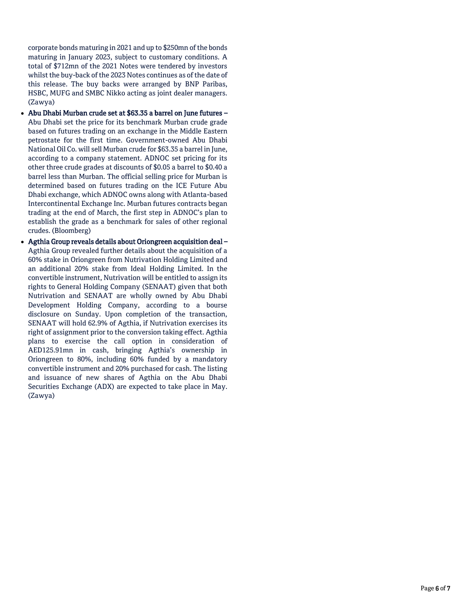corporate bonds maturing in 2021 and up to \$250mn of the bonds maturing in January 2023, subject to customary conditions. A total of \$712mn of the 2021 Notes were tendered by investors whilst the buy-back of the 2023 Notes continues as of the date of this release. The buy backs were arranged by BNP Paribas, HSBC, MUFG and SMBC Nikko acting as joint dealer managers. (Zawya)

- Abu Dhabi Murban crude set at \$63.35 a barrel on June futures Abu Dhabi set the price for its benchmark Murban crude grade based on futures trading on an exchange in the Middle Eastern petrostate for the first time. Government-owned Abu Dhabi National Oil Co. will sell Murban crude for \$63.35 a barrel in June, according to a company statement. ADNOC set pricing for its other three crude grades at discounts of \$0.05 a barrel to \$0.40 a barrel less than Murban. The official selling price for Murban is determined based on futures trading on the ICE Future Abu Dhabi exchange, which ADNOC owns along with Atlanta-based Intercontinental Exchange Inc. Murban futures contracts began trading at the end of March, the first step in ADNOC's plan to establish the grade as a benchmark for sales of other regional crudes. (Bloomberg)
- Agthia Group reveals details about Oriongreen acquisition deal Agthia Group revealed further details about the acquisition of a 60% stake in Oriongreen from Nutrivation Holding Limited and an additional 20% stake from Ideal Holding Limited. In the convertible instrument, Nutrivation will be entitled to assign its rights to General Holding Company (SENAAT) given that both Nutrivation and SENAAT are wholly owned by Abu Dhabi Development Holding Company, according to a bourse disclosure on Sunday. Upon completion of the transaction, SENAAT will hold 62.9% of Agthia, if Nutrivation exercises its right of assignment prior to the conversion taking effect. Agthia plans to exercise the call option in consideration of AED125.91mn in cash, bringing Agthia's ownership in Oriongreen to 80%, including 60% funded by a mandatory convertible instrument and 20% purchased for cash. The listing and issuance of new shares of Agthia on the Abu Dhabi Securities Exchange (ADX) are expected to take place in May. (Zawya)